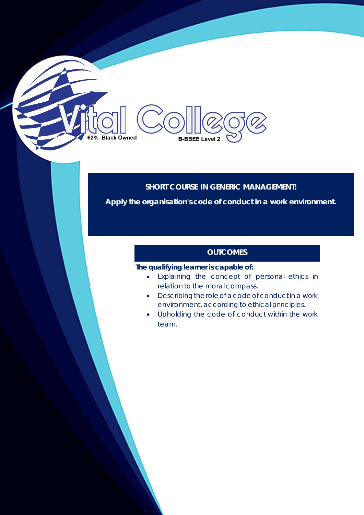# **SHORT COURSE IN GENERIC MANAGEMENT:**

**Apply the organisation's code of conduct in a work environment.**

## **OUTCOMES**

#### **The qualifying learner is capable of:**

**B-BBEE Level 2** 

62% Black Owned

- Explaining the concept of personal ethics in relation to the moral compass.
- Describing the role of a code of conduct in a work environment, according to ethical principles.
- Upholding the code of conduct within the work team.